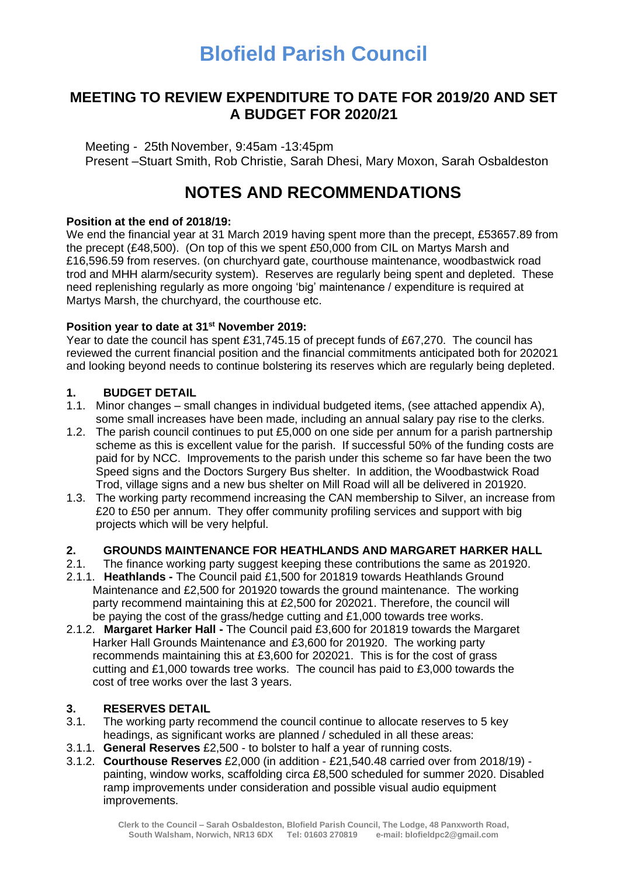# **Blofield Parish Council**

### **MEETING TO REVIEW EXPENDITURE TO DATE FOR 2019/20 AND SET A BUDGET FOR 2020/21**

Meeting - 25th November, 9:45am -13:45pm Present –Stuart Smith, Rob Christie, Sarah Dhesi, Mary Moxon, Sarah Osbaldeston

# **NOTES AND RECOMMENDATIONS**

#### **Position at the end of 2018/19:**

We end the financial year at 31 March 2019 having spent more than the precept, £53657.89 from the precept (£48,500). (On top of this we spent £50,000 from CIL on Martys Marsh and £16,596.59 from reserves. (on churchyard gate, courthouse maintenance, woodbastwick road trod and MHH alarm/security system). Reserves are regularly being spent and depleted. These need replenishing regularly as more ongoing 'big' maintenance / expenditure is required at Martys Marsh, the churchyard, the courthouse etc.

#### **Position year to date at 31st November 2019:**

Year to date the council has spent £31,745.15 of precept funds of £67,270. The council has reviewed the current financial position and the financial commitments anticipated both for 202021 and looking beyond needs to continue bolstering its reserves which are regularly being depleted.

#### **1. BUDGET DETAIL**

- 1.1. Minor changes small changes in individual budgeted items, (see attached appendix A), some small increases have been made, including an annual salary pay rise to the clerks.
- 1.2. The parish council continues to put £5,000 on one side per annum for a parish partnership scheme as this is excellent value for the parish. If successful 50% of the funding costs are paid for by NCC. Improvements to the parish under this scheme so far have been the two Speed signs and the Doctors Surgery Bus shelter. In addition, the Woodbastwick Road Trod, village signs and a new bus shelter on Mill Road will all be delivered in 201920.
- 1.3. The working party recommend increasing the CAN membership to Silver, an increase from £20 to £50 per annum. They offer community profiling services and support with big projects which will be very helpful.

#### **2. GROUNDS MAINTENANCE FOR HEATHLANDS AND MARGARET HARKER HALL**

- 2.1. The finance working party suggest keeping these contributions the same as 201920.
- 2.1.1. **Heathlands -** The Council paid £1,500 for 201819 towards Heathlands Ground Maintenance and £2,500 for 201920 towards the ground maintenance. The working party recommend maintaining this at £2,500 for 202021. Therefore, the council will be paying the cost of the grass/hedge cutting and £1,000 towards tree works.
- 2.1.2. **Margaret Harker Hall -** The Council paid £3,600 for 201819 towards the Margaret Harker Hall Grounds Maintenance and £3,600 for 201920. The working party recommends maintaining this at £3,600 for 202021. This is for the cost of grass cutting and £1,000 towards tree works. The council has paid to £3,000 towards the cost of tree works over the last 3 years.

#### **3. RESERVES DETAIL**

- 3.1. The working party recommend the council continue to allocate reserves to 5 key headings, as significant works are planned / scheduled in all these areas:
- 3.1.1. **General Reserves** £2,500 to bolster to half a year of running costs.
- 3.1.2. **Courthouse Reserves** £2,000 (in addition £21,540.48 carried over from 2018/19) painting, window works, scaffolding circa £8,500 scheduled for summer 2020. Disabled ramp improvements under consideration and possible visual audio equipment improvements.